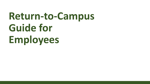# Return-to-Campus Guide for **Employees**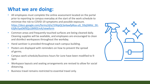## **What we are doing:**

- All employees must complete the online assessment located on the portal prior to reporting to campus everyday at the start of the work schedule to minimize the risk to COVID-19 symptoms and possible exposure. https://docs.google.com/forms/d/e/1FAIpQLSe4awfpRoa-uG\_93qSWklc\_EK-63jRv5yaD6f9ZjcL8XREEmA/viewform
- Common areas and frequently touched surfaces are being cleaned daily. Cleaning supplies will be available, and employees are encouraged to clean and disinfect workspaces throughout the workday.
- Hand sanitizer is provided throughout each campus building.
- Posters are displayed with reminders on how to prevent the spread of germs.
- Campus work schedule/business hours for June have been modified to 9-3pm
- Workspace layouts and seating arrangements are revised to allow for social distancing.
- Business travel remains restricted to essential travel only.

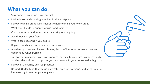## **What you can do:**

- Stay home or go home if you are sick.
- Maintain social distancing practices in the workplace.
- Follow cleaning product instructions when cleaning your work areas.
- Wash your hands frequently or use hand sanitizer
- Cover your nose and mouth when sneezing or coughing.
- Avoid touching your face.
- Wear a face covering if you desire.
- Replace handshakes with head nods and waves.
- Avoid using other employees' phones, desks, offices or other work tools and equipment, when possible.
- Talk to your manager if you have concerns specific to your circumstances, such as a health condition that places you or someone in your household at high risk.
- Follow all University advised practices.
- Be kind. Understand that this is a stressful time for everyone, and an extra bit of kindness right now can go a long way.

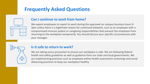## **Frequently Asked Questions**



#### **Can I continue to work from home?**

We expect employees to report to work during the approved on campus business hours 9-3pm unless there is a legitimate reason for continued telework, such as an employee with a compromised immune system or caregiving responsibilities that prevent the employee from returning to the workplace temporarily. You should discuss your specific circumstances with your manager.



#### **Is it safe to return to work?**

We are taking every precaution to ensure our workplace is safe. We are following federal health and safety guidelines as well as guidance from our state and local governments. We are implementing practices such as employee online health assessment screenings and social distancing practices to keep our workplace healthy.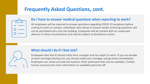## **Frequently Asked Questions, cont.**



#### Do I have to answer medical questions when reporting to work?

All employees will be required to answer questions regarding COVID-19 symptoms before coming to work on campus. Individuals who refuse to answer health screening questions will not be permitted entry into the building. Employees will be marked with an unexcused absence in these circumstances and may be subject to disciplinary action.



#### **What should I do if I feel sick?**

Employees who feel ill should notify their manager and not report to work. If you are already at work and begin feeling sick, you should notify your manager and go home immediately. Employees can utilize accrued sick leave/or other paid leave that may be available. Contact human resources for more information on available paid time off.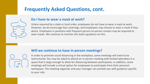## **Frequently Asked Questions, cont.**



#### Do I have to wear a mask at work?

Unless required by a state or local order, employees do not have to wear a mask at work. However, we do encourage face coverings, and employees may choose to wear a mask if they desire. Employees in positions with frequent person-to-person contact may be required to wear masks. We continue to monitor the state's guidance on this.

#### **Will we continue to have in-person meetings?**



In order to promote social distancing in the workplace, some meetings will need to be restructured. You may be asked to attend an in-person meeting with limited attendees in a space that is large enough to allow for distancing between participants. In addition, some meetings will include a virtual option for employees to participate from their personal workspace. The meeting organizer and your manager can provide you with guidance specific to your role.